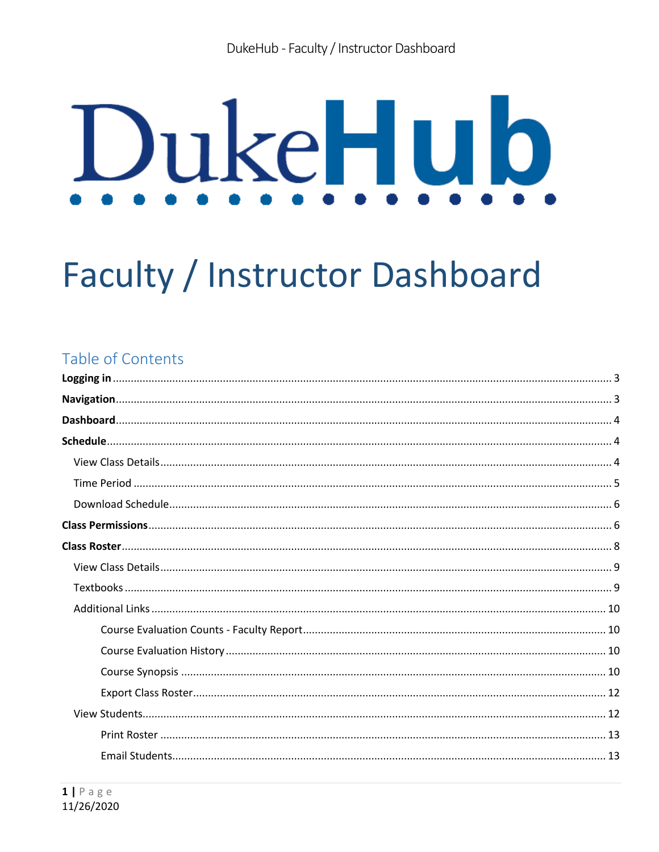# DukeHub

# **Faculty / Instructor Dashboard**

# Table of Contents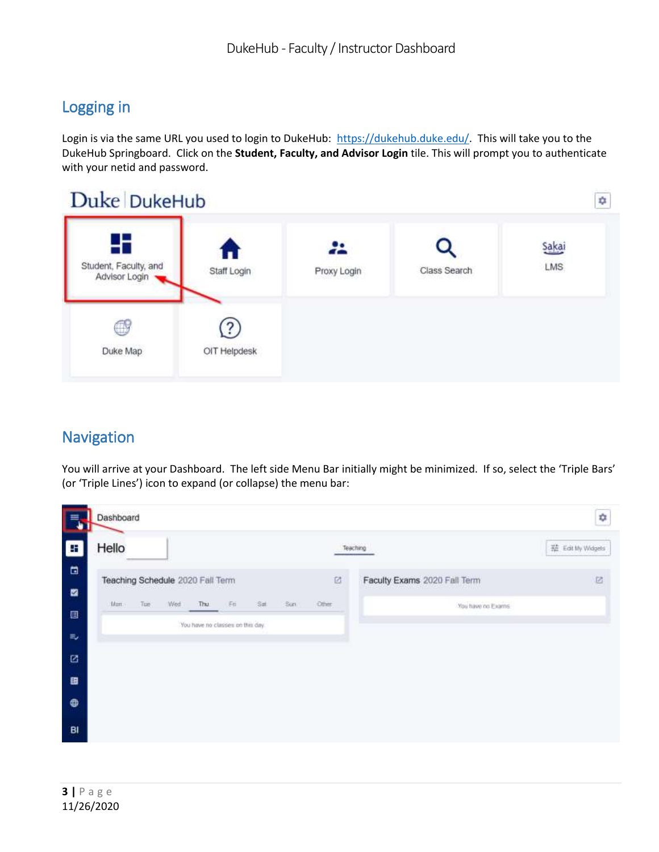# Logging in

Login is via the same URL you used to login to DukeHub: [https://dukehub.duke.edu/.](https://dukehub.duke.edu/) This will take you to the DukeHub Springboard. Click on the **Student, Faculty, and Advisor Login** tile. This will prompt you to authenticate with your netid and password.



# Navigation

You will arrive at your Dashboard. The left side Menu Bar initially might be minimized. If so, select the 'Triple Bars' (or 'Triple Lines') icon to expand (or collapse) the menu bar:

|                                  | Dashboard |      |                                  |                                  |     |     |      |       |                                           | ٠                 |
|----------------------------------|-----------|------|----------------------------------|----------------------------------|-----|-----|------|-------|-------------------------------------------|-------------------|
| E                                | Hello     |      |                                  |                                  |     |     |      |       | Teaching                                  | 瑞 Edit My Widgets |
| $\blacksquare$<br>$\blacksquare$ |           |      | Teaching Schedule 2020 Fall Term |                                  |     |     |      | ø     | Faculty Exams 2020 Fall Term<br>allian in | B                 |
| 目                                | Man       | Tue: | Wed:                             | Thu                              | Fei | Sat | -Sun | Other | You have no Exams                         |                   |
|                                  |           |      |                                  | You have no classes on this day. |     |     |      |       |                                           |                   |
| $\approx$                        |           |      |                                  |                                  |     |     |      |       |                                           |                   |
| 図                                |           |      |                                  |                                  |     |     |      |       |                                           |                   |
| 田                                |           |      |                                  |                                  |     |     |      |       |                                           |                   |
| $\oplus$                         |           |      |                                  |                                  |     |     |      |       |                                           |                   |
| BI                               |           |      |                                  |                                  |     |     |      |       |                                           |                   |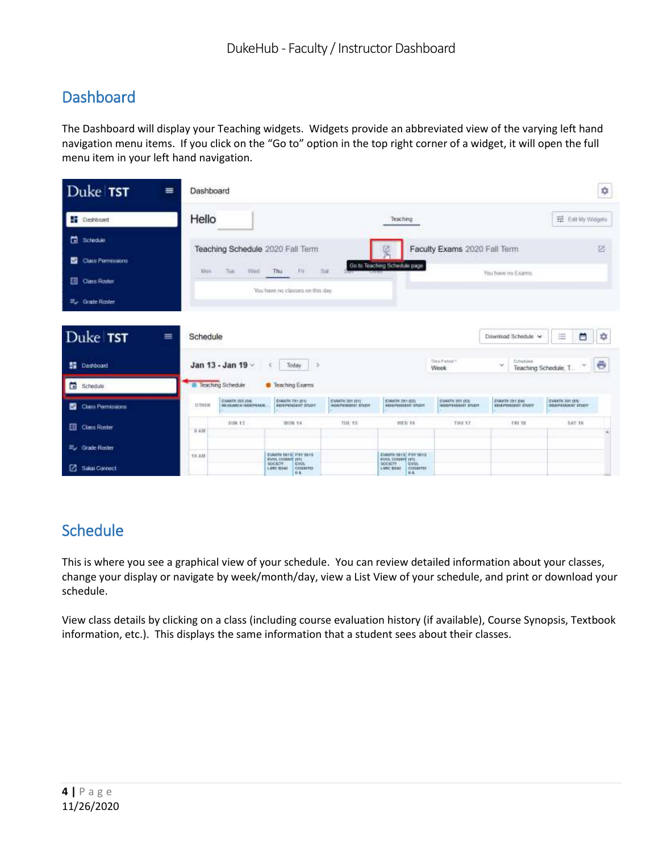# Dashboard

The Dashboard will display your Teaching widgets. Widgets provide an abbreviated view of the varying left hand navigation menu items. If you click on the "Go to" option in the top right corner of a widget, it will open the full menu item in your left hand navigation.

| Duke TST<br>≡                                                       | Dashboard                                                  |                                                                                                                     |                                                                                                          |                                         |                                                     | ☆                                                     |
|---------------------------------------------------------------------|------------------------------------------------------------|---------------------------------------------------------------------------------------------------------------------|----------------------------------------------------------------------------------------------------------|-----------------------------------------|-----------------------------------------------------|-------------------------------------------------------|
| Dashboard                                                           | Hello                                                      |                                                                                                                     | <b>SUDDE</b><br>Teaching                                                                                 |                                         |                                                     | 荘 Eat My Widgets                                      |
| <b>El</b> Scledule<br>Class Permissions<br>ы<br><b>Class Roster</b> | Teaching Schedule 2020 Fall Term<br>Mon. Tue Wed. Thu. Fo. | Bar.                                                                                                                | Go to Teaching Schedule page                                                                             | Faculty Exams 2020 Fall Term            | You have no Exams.                                  | 囪                                                     |
| 三、Grade Roster<br>Duke TST<br>$\equiv$                              | Schedule                                                   | You have no classes on this day.                                                                                    |                                                                                                          |                                         | Download Schedule v                                 | 蔨<br>圧<br>٠                                           |
| <b>图 Dashboard</b>                                                  | Jan 13 - Jan 19 -                                          | 5.5<br>Today<br>€.                                                                                                  |                                                                                                          | Total Panels!<br>Week                   | Schebaut<br>×                                       | Teaching Schedule, T.                                 |
| Schedule                                                            | <sup>o</sup> Teaching Schedule                             | <b>C</b> Teaching Exams                                                                                             |                                                                                                          |                                         |                                                     |                                                       |
| Class Permissions                                                   | STANKER 000 (da)<br>Nelskaatsk reporteazel<br><b>DTHEN</b> | ENALISE 794 (611)<br>gwwthi 501 (81)<br><b>ROEPULGENT STUZY</b>                                                     | <b>EVANTH 281 (OI)</b><br><b>RIGHTHREEST STUDY</b><br><b><i>INSEPEREDIT VILCY</i></b>                    | EVANTH 201 (65)<br>INDIAN-RADIONY AYLEY | <b>EVANTH TRY (04)</b><br><b>REGEPEREDENT STUDY</b> | <b>CHANTIC 301 UVA</b><br><b>MESOPERATIONS ESTADY</b> |
| Class Roster                                                        | SIIN 15<br>0.838                                           | THE 15<br><b>MUN 14</b>                                                                                             | <b>WEB 18</b>                                                                                            | THE 17.                                 | FBI SE                                              | <b>S&amp;T 18</b>                                     |
| Eu Grade Roster<br>3 Salai Connect                                  | 18.8.88                                                    | EVANIN BETS PSY SETS<br><b>EVOL EXHIBIT JITT</b><br><b>MICKITY</b><br>EVOL.<br>1,880, 8240<br>COGMITIO<br><b>HA</b> | EVANTE SETS PSYSONS<br><b>EVOL COSMIT (S1)</b><br><b>Cirtis:</b><br>SOCIETY<br>LINC \$340 COOMITO<br>HA. |                                         |                                                     |                                                       |

# **Schedule**

This is where you see a graphical view of your schedule. You can review detailed information about your classes, change your display or navigate by week/month/day, view a List View of your schedule, and print or download your schedule.

View class details by clicking on a class (including course evaluation history (if available), Course Synopsis, Textbook information, etc.). This displays the same information that a student sees about their classes.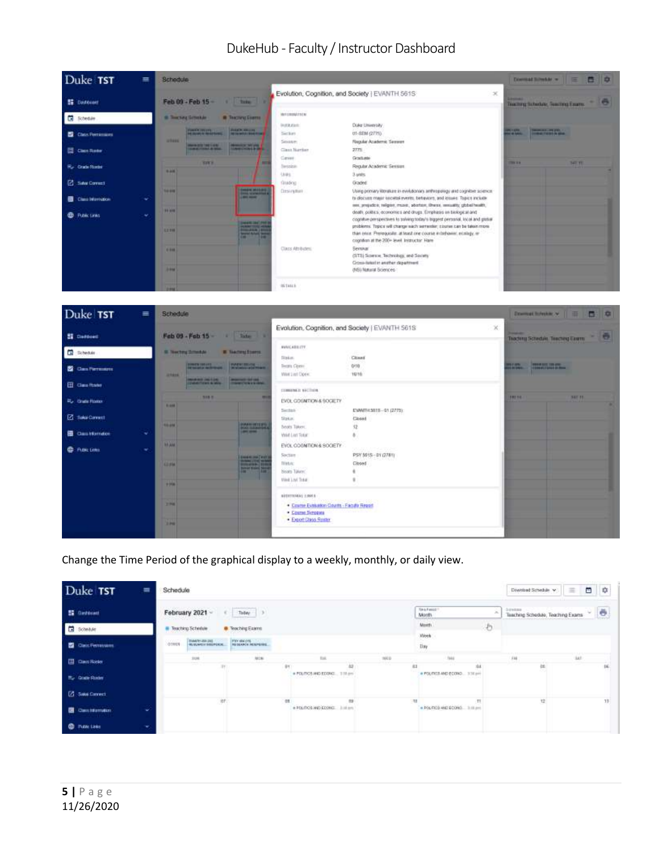



Change the Time Period of the graphical display to a weekly, monthly, or daily view.

| Duke TST               | $\equiv$ | Schedule     |                                                     |                          |     |                                |               |       |                                     |    |                                  | Download Schedule V               | $\equiv$ |     | 日 章  |
|------------------------|----------|--------------|-----------------------------------------------------|--------------------------|-----|--------------------------------|---------------|-------|-------------------------------------|----|----------------------------------|-----------------------------------|----------|-----|------|
| <b>E Destocati</b>     |          |              | February 2021 -                                     | Today 3<br>e (i)         |     |                                |               |       | Tim & F encod<br>Month              |    | <b>Director</b><br>$\mathcal{M}$ | Teaching Schedule, Teaching Exams |          |     | $-6$ |
| E<br>Schedule          |          |              | <b>B</b> Teaching-Schedule                          | <b>B</b> Teaching Easims |     |                                |               |       | Month.<br>Week                      | æ  |                                  |                                   |          |     |      |
| <b>Carl Femouses</b>   |          | n m<br>OTHER | <b>STANTO ASE UNI.</b><br>Ma Musecula della Picaca. | PIX MADE TO ANNOUNCE     |     |                                |               |       | timy                                |    |                                  |                                   |          |     |      |
| <b>EL Cas Rose</b>     |          |              | <b>JUE</b>                                          | ALC:N                    | 9Y  |                                | $_{12}$       | INKIO | <b>Isko</b><br>53                   | 34 |                                  | e                                 |          | is! | 16   |
| <b>E.</b> Grade Roder  |          |              |                                                     |                          |     | # POLITICS MED ECONO  TITE and |               |       | # FOUTIST-MED ECONO  3 30 pm        |    |                                  |                                   |          |     |      |
| <b>Z</b> Sau Coned     |          |              |                                                     |                          |     |                                |               |       |                                     |    |                                  |                                   |          |     |      |
| <b>B</b> Cancidiamator | v        |              | OF.                                                 |                          | ox. | # FOLTICE MENDED IN SITE 2     | $\rightarrow$ |       | 11<br>. POLITICS AND SCORO 3 ISSUED | TT |                                  | 12                                |          |     | 18   |
| <b>C</b> Published     |          |              |                                                     |                          |     |                                |               |       |                                     |    |                                  |                                   |          |     |      |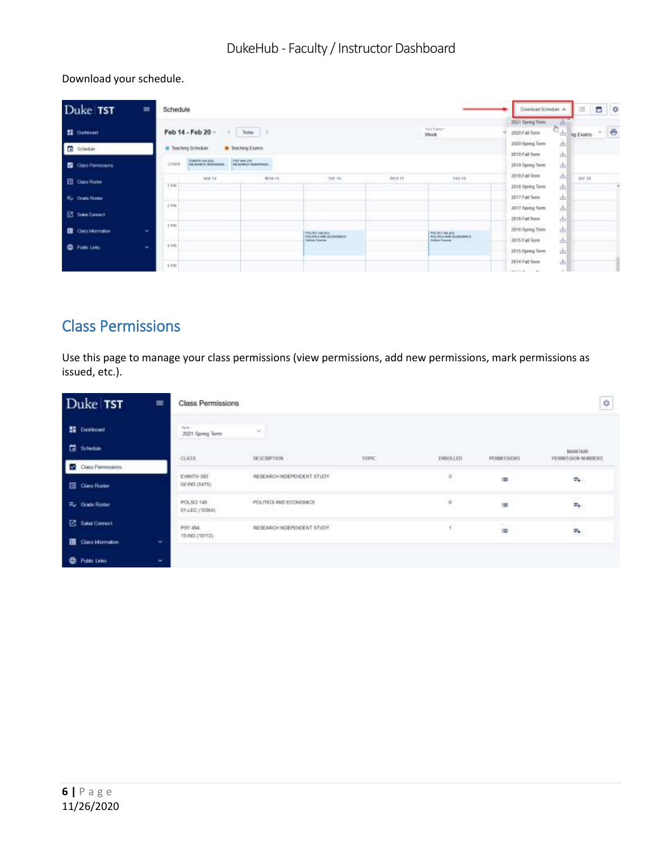Download your schedule.

| Duke TST                                         | $\equiv$ | Schedule                                          |                                                                           |                                                                             |        |                                                            | Dirwriiad Schodule ->                                   |                                       | ⋿                 | 00  |   |
|--------------------------------------------------|----------|---------------------------------------------------|---------------------------------------------------------------------------|-----------------------------------------------------------------------------|--------|------------------------------------------------------------|---------------------------------------------------------|---------------------------------------|-------------------|-----|---|
| <b>EE</b> Clartcoatt<br>G<br>Schedule            |          | Feb 14 - Feb 20 -<br><b>III</b> Teaching Schedule | $\boxed{\quad \text{ 144a} \quad \Rightarrow}$<br><b>B</b> Teaching Exams |                                                                             |        | Total Executive<br><b>Wook</b>                             | 2021 Spring Term<br>2020 Fall Term<br>2020 Spring Term  | 曲<br>ð<br>ᅄ<br>画                      | <b>ING EXISTS</b> | MU) | e |
| <b>C</b> Oats Perresons<br>El Casa Hotel         |          | EVANSY 201213<br>O'Ualk.<br>1008 14               | <b>PER ASK (S)</b><br>FOLSO AND LINES<br>MOKSK                            | THE THE                                                                     | WEB ET | THU 18                                                     | 2010 Fall Term<br>2010 Spring Term<br>2018 Fall Term    | 函<br>画<br>画                           | <b>SAT 38</b>     |     |   |
| <b>For Coupe Home</b>                            |          | 3.199<br>2.098                                    |                                                                           |                                                                             |        |                                                            | 2018 Spring Term<br>2017 Fail Term<br>2017 Spring Turm  | 函<br>画<br>函                           |                   |     | × |
| <b>Z</b> Sales Connect<br><b>E</b> Cass Mamation | $\sim$   | 13, 198                                           |                                                                           | Price left in such as its<br>POLITICS AND RECROANERS<br><b>Index Course</b> |        | POLICI SIE (P)<br>POLITICS (IVE ECONOMIC)<br>Colore County | 2016 Fall Term<br>2016 Spring Term<br>2015 Fall Term    | 函<br>击<br>130<br>$\frac{1}{1-\alpha}$ |                   |     |   |
| <b>ED</b> PUBLICKS                               | ۰        | 4 Fm<br>7.199                                     |                                                                           |                                                                             |        |                                                            | 2015 Spring Term<br>JD14 Fall Tetto<br>and the Children | 画<br>K II<br>画                        |                   |     |   |

# Class Permissions

Use this page to manage your class permissions (view permissions, add new permissions, mark permissions as issued, etc.).

| Duke TST<br>$\equiv$              | <b>Class Permissions</b>                                |                                                            |                        |                                    |                            | ¢                                                           |
|-----------------------------------|---------------------------------------------------------|------------------------------------------------------------|------------------------|------------------------------------|----------------------------|-------------------------------------------------------------|
| <b>ED</b> Dashbourd               | Tore.<br>2021 Spring Term<br>all and help and the state | w                                                          |                        |                                    |                            |                                                             |
| <b>El</b> Schedule                | <b>CONTRACT</b><br>CLASS                                | <b>ASSISTMENT</b><br>DESCRIPTION                           | <b>COMPANY</b><br>tone | <b>HARASSET</b><br><b>ENROLLED</b> | 999902-9901<br>PERMISSIONS | <b>BASEBART P</b><br><b>SUUSTIVE</b><br>PERMISSION MUNICIPS |
| Class Permissions                 | onvez<br><b>CONTRACTOR</b><br>EVANTH 303                | DE MONTENEN<br>RESEARCH INDEPENDENT STUDY                  | mario                  | 147749470<br>$\phi$                | ,,,,,,,,,,,,               | <b>LAND CONTRACTOR</b>                                      |
| <b>Education</b>                  | 02-INII (5475)                                          | the company products and the company of the company of the |                        |                                    | 漂                          | 野                                                           |
| For Grade Roster                  | POLSO 145<br>(P1-LEC (10364)                            | POLITICS AND ECONOMICS                                     |                        | $\ll$                              | ≡                          | o.<br>$\overline{\mathbf{u}}_{\mathbf{f}}$                  |
| <b>E</b> Sakes Connect            | PSY 494                                                 | RESEARCH INDEPENDENT STUDY                                 |                        | ٠                                  | $\blacksquare$             | 野                                                           |
| <b>EB</b> Class Information<br>÷. | (57707)(38467)                                          |                                                            |                        |                                    |                            |                                                             |
| <b>C</b> Futuri Links<br>w.       |                                                         |                                                            |                        |                                    |                            |                                                             |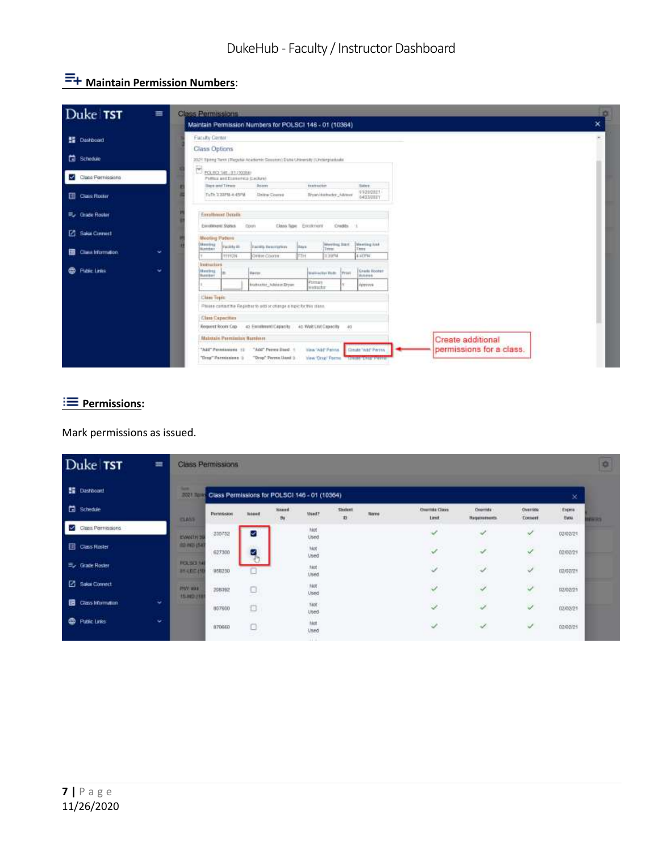# **E+ Maintain Permission Numbers:**

| Duke TST                                  | 吉                                                                  | Class Permissions<br>Maintain Permission Numbers for POLSCI 146 - 01 (10364) |                                                                      |                                                                |                               |                          |  |  |  |  |
|-------------------------------------------|--------------------------------------------------------------------|------------------------------------------------------------------------------|----------------------------------------------------------------------|----------------------------------------------------------------|-------------------------------|--------------------------|--|--|--|--|
| <b>SE</b> Dashboard                       |                                                                    | Faculty Center                                                               |                                                                      |                                                                |                               |                          |  |  |  |  |
|                                           |                                                                    | Class Options                                                                |                                                                      |                                                                |                               |                          |  |  |  |  |
| <b>世</b> Schedule                         |                                                                    | 2021 Spring Term (Wepshir Academic Security) Date University (Undergraduate  |                                                                      |                                                                |                               |                          |  |  |  |  |
| Class Permissions                         |                                                                    | $\Xi_{\rm reconive,mmse}$<br>Pulled and Espherics (Cashaw)                   |                                                                      |                                                                |                               |                          |  |  |  |  |
|                                           |                                                                    | Been and Times                                                               | Asam                                                                 | tradition.                                                     | Sales:                        |                          |  |  |  |  |
| <b>Ell</b> Cance Roster                   |                                                                    | Tuth 2.237M-4.45PM                                                           | <b>Unite</b> Correl                                                  | <b>Broad Baltistan Advert-</b>                                 | 01010321<br>GASSUEEY          |                          |  |  |  |  |
| <b>FL</b> Grade Rooter<br>Employed Bendix |                                                                    |                                                                              |                                                                      |                                                                |                               |                          |  |  |  |  |
| [2] Saka Connect                          | Excellenced States<br>Closek<br>Class lape Fornement<br>Crashin 11 |                                                                              |                                                                      |                                                                |                               |                          |  |  |  |  |
|                                           |                                                                    | Mooting Pattern                                                              |                                                                      | Interimon Start                                                | Meeting lost                  |                          |  |  |  |  |
| <b>EB</b> Class Information               | v                                                                  | Mening<br>Romber<br>Facility III                                             | <b>Eacons description:</b>                                           | <b>Back</b><br>Telesco                                         | Tens                          |                          |  |  |  |  |
|                                           |                                                                    | TT1034                                                                       | Darabae (Colonina)                                                   | TTH<br>上方的社                                                    | <b>E1FBI</b>                  |                          |  |  |  |  |
| <b>B</b> Public Links                     | ÷                                                                  | <b>Instruction</b><br>Meebeg<br><b>Business</b>                              | <b>Harry</b>                                                         | <b>Bratisviller Finds</b> Prints                               | Grade Rooter<br><b>BARANA</b> |                          |  |  |  |  |
|                                           |                                                                    |                                                                              | Instruction, Advised Dream                                           | Pottatt<br>wwwatter                                            | Approve                       |                          |  |  |  |  |
|                                           |                                                                    | <b>Class Toyic</b>                                                           |                                                                      |                                                                |                               |                          |  |  |  |  |
|                                           |                                                                    |                                                                              | Please cantactive Registrario add or of ange a topic for two states. |                                                                |                               |                          |  |  |  |  |
|                                           |                                                                    | <b>Class Capacities</b>                                                      |                                                                      |                                                                |                               |                          |  |  |  |  |
|                                           |                                                                    |                                                                              |                                                                      | Request Room Cap 42 Estatement Capacity 45 Walt DM Capacity 45 |                               |                          |  |  |  |  |
|                                           |                                                                    | <b>Blaistain Parmington Humborn</b>                                          |                                                                      |                                                                |                               | Create additional        |  |  |  |  |
|                                           |                                                                    |                                                                              | "Add" Pennsylvania 10 - "Add" Perrea Used. 1                         | View 'Atd' Fatrix                                              | <b>Create "Add" Perrys</b>    | permissions for a class. |  |  |  |  |
|                                           |                                                                    | "Urng" Parentalens ()                                                        | "Drop" Perrex linest ()                                              | Vew Crop' Porms                                                | <b>THEFT SERVICE</b>          |                          |  |  |  |  |

#### **Permissions:**

Mark permissions as issued.

| Duke TST                      | 畫 |                                    | <b>Class Permissions</b>                                        |              |                              |                    |              |                             |                               |                               |                      |                                          | $\circ$                   |
|-------------------------------|---|------------------------------------|-----------------------------------------------------------------|--------------|------------------------------|--------------------|--------------|-----------------------------|-------------------------------|-------------------------------|----------------------|------------------------------------------|---------------------------|
| <b>E</b> Dashboard            |   |                                    | <b>NXII Image Class Permissions for POLSCI 146 - 01 (10364)</b> |              |                              |                    |              |                             |                               |                               |                      | ×                                        |                           |
| <b>El</b> Schedule            |   | <b>GLASS</b>                       | Perretisiaon<br><b>CAMBRIDGE</b>                                | <b>Noone</b> | <b>Sound</b><br>$_{\rm{B1}}$ | <b>Need?</b>       | Shidest<br>n | <b>Nores</b><br><b>HEAT</b> | <b>Cremida Class</b><br>Limit | Overmite<br><b>Hagananoon</b> | Override:<br>Conneri | Expire<br><b>ISWN</b>                    | <b><i><u>DERS</u></i></b> |
| Class Permissions<br>м        |   | EWALK 3                            | 230752                                                          | ⊽            |                              | Not<br>Used        |              |                             | ⊀                             | ×                             | ×.                   | 02/02/21                                 |                           |
| <b>El Class Roster</b>        |   | <b>BOTHER</b>                      | 627300                                                          | ↩            |                              | Not<br>Used        |              |                             | $\checkmark$                  | Ù.                            | $\checkmark$         | œe<br>02/02/21                           |                           |
| <b>Ey Grade Rester</b>        |   | <b>POLSO 14</b><br>3140049         | 958230                                                          | u            |                              | FADE<br>Literd     |              |                             | S                             | $\omega$                      | ₽                    | 020222                                   |                           |
| <b>Z</b> Sakai Connect        |   | <b>POT AND</b><br><b>15,000 PM</b> | 208392                                                          | $\Box$<br>-- |                              | FAOT<br>Used       |              |                             | V                             | 4                             | V                    | <b>SOUTH</b><br>02/02/21<br><b>WARRE</b> |                           |
| 區<br><b>Class Information</b> | ÷ |                                    | 807600<br>292                                                   | O            |                              | TADE<br>Uted       |              |                             | ¥                             | Ì.                            | V.                   | <b>SAMPLES</b><br>02/03/21               |                           |
| Public Links<br>ଈ             | v |                                    | 870660                                                          | o            |                              | --<br>hiot<br>Used |              |                             | ×.                            | v                             | ✓                    | 02/02/25                                 |                           |
|                               |   |                                    |                                                                 |              |                              |                    |              |                             |                               |                               |                      |                                          |                           |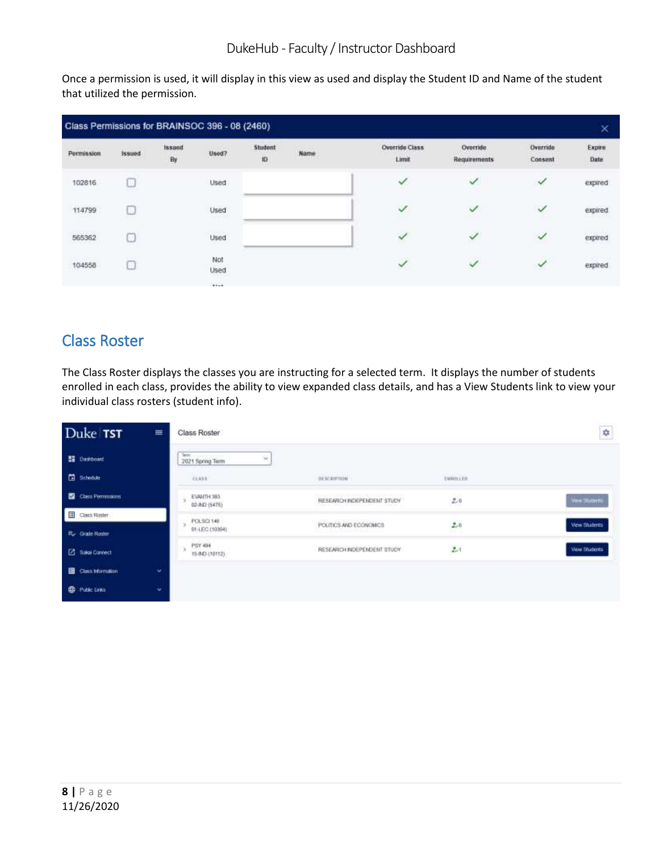Once a permission is used, it will display in this view as used and display the Student ID and Name of the student that utilized the permission.

|                                       |                              |                     | Class Permissions for BRAINSOC 396 - 08 (2460) |              |                                 |                                |                          |                     | ×                              |
|---------------------------------------|------------------------------|---------------------|------------------------------------------------|--------------|---------------------------------|--------------------------------|--------------------------|---------------------|--------------------------------|
| 22396239939<br>Permission<br>15042282 | Anni Maria<br>Issued<br>---- | <b>Issued</b><br>By | Used?                                          | Student<br>Ю | $+120$<br>Name<br><b>AVANTS</b> | <b>Override Class</b><br>Limit | Override<br>Requirements | Override<br>Consent | Expire<br>Date<br><b>ATTER</b> |
| 102816                                | استنا                        |                     | Used                                           |              |                                 | ✓                              | $\checkmark$             | √                   | expired                        |
| 114799                                |                              |                     | Used<br>marshi                                 |              |                                 | $\checkmark$                   | ✓                        | ✓                   | expired                        |
| 565362                                |                              |                     | Used                                           |              |                                 | $\checkmark$                   | $\checkmark$             | $\checkmark$        | expired                        |
| <b>CONTRACT</b><br>104558             | <b>CEM</b><br>2000<br>ÐЗ     |                     | Not<br>Used<br>65 C C C C                      |              |                                 | $\checkmark$                   | $\checkmark$             | $\checkmark$        | expired                        |
|                                       |                              |                     | <b>SALA</b>                                    |              |                                 |                                |                          |                     |                                |

# Class Roster

The Class Roster displays the classes you are instructing for a selected term. It displays the number of students enrolled in each class, provides the ability to view expanded class details, and has a View Students link to view your individual class rosters (student info).

| Duke TST               | $\equiv$ | Class Roster                                             |                            |                 | ÷                    |
|------------------------|----------|----------------------------------------------------------|----------------------------|-----------------|----------------------|
| <b>图 Dashboard</b>     |          | <b>See your</b><br>ŵ<br>2021 Spring Term                 |                            |                 |                      |
| <b>B</b> Schedule      |          | the company's the company's state of the<br><b>CLASS</b> | неконстин                  | (10001)(10)     |                      |
| Class Permissions      |          | EVANTH 393<br>02-IND (5475)                              | RESEARCH INDEPENDENT STUDY | $\mathbb{E}[a]$ | <b>View Shores</b>   |
| Class Roster           |          | POLSCI 14B                                               |                            |                 |                      |
| Eu Grade Roster        |          | 01-LEC (10384).                                          | POLITICS AND ECONOMICS     | $2 - 8$         | <b>View Students</b> |
| <b>2</b> Sakai Connect |          | PSY 494<br>15-940 (10112).                               | RESEARCH INDEPENDENT STUDY | $2 - 1$         | <b>View Students</b> |
| Class Information      | ÷        |                                                          |                            |                 |                      |
| <b>CD</b> Public Links | ÷        |                                                          |                            |                 |                      |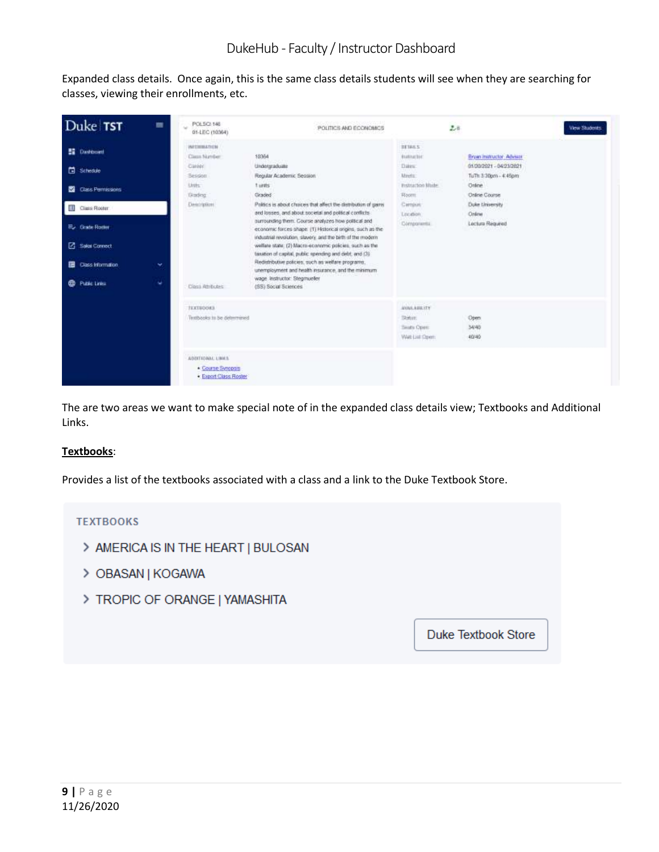Expanded class details. Once again, this is the same class details students will see when they are searching for classes, viewing their enrollments, etc.

| Duke TST                                                                                                                                                                                 | 畐       | POLSCI 146<br>u.<br>01-LEC (10364)                                                                                        | 2020년 2020년 전 2020년 2021<br>POLITICS AND ECONOMICS                                                                                                                                                                                                                                                                                                                                                                                                                                                                                                                                                                                                                             |                                                                                                                              | 2.8                                                                                                                                                             | <b>View Students</b> |
|------------------------------------------------------------------------------------------------------------------------------------------------------------------------------------------|---------|---------------------------------------------------------------------------------------------------------------------------|--------------------------------------------------------------------------------------------------------------------------------------------------------------------------------------------------------------------------------------------------------------------------------------------------------------------------------------------------------------------------------------------------------------------------------------------------------------------------------------------------------------------------------------------------------------------------------------------------------------------------------------------------------------------------------|------------------------------------------------------------------------------------------------------------------------------|-----------------------------------------------------------------------------------------------------------------------------------------------------------------|----------------------|
| <b>ED</b> Dashboard<br><b>El</b> Schedule<br><b>Class Permissons</b><br>雷<br>淇<br>Class Roster<br><b>E.</b> Grade Romer<br>Sakai Connect<br>Class information.<br>田<br>Public Links<br>⊕ | v.<br>٠ | WELLHEATION<br>Class Norther<br>Classic<br><b>Besident</b><br>Lists:<br><b>Disding</b><br>Dascription:<br>Class Athibutes | 10354<br>Undergraduate<br>Regular Academic Session<br>tunts<br>Graded<br>Politics is about chaices that affect the distribution of gams<br>and losses, and about societal and political conflicts.<br>surrounding them. Course analyzes how political and<br>economic forces shape: (1) Historical origins, such as the<br>industrial revolution, slavery, and the birth of the modern<br>welfare state; (2) Macro-economic policies, such as the<br>taxation of capital, public spending and debt, and (3).<br>Redistributive policies, such as welfare programs,<br>unemployment and health insurance, and the minimum<br>wage Instructor Stegmueler<br>(SS) Social Sciences | <b>TETAKS</b><br><b>Bulturbar</b><br>Dates<br>Meets:<br><b>Instruction Made</b><br>Room:<br>Campus<br>Lecidion<br>Components | Bryan matructor: Advisor<br>01/30/2021 - 04/23/2021<br>Tu Th 3:30pm - 4:45pm<br>Online<br><b>Online Course</b><br>Duke University<br>Online<br>Locture Required |                      |
|                                                                                                                                                                                          |         | <b>TEXTROOMS</b><br>Textbooks to be determined<br>ADDITIONAL LINES<br>Course Synopsis<br>Export Class Roster              |                                                                                                                                                                                                                                                                                                                                                                                                                                                                                                                                                                                                                                                                                | AVAILABLETY<br>Saber<br>Sauty Open:<br>Wat List Open:                                                                        | Open<br>34/45<br>40/40                                                                                                                                          |                      |

The are two areas we want to make special note of in the expanded class details view; Textbooks and Additional Links.

#### **Textbooks**:

Provides a list of the textbooks associated with a class and a link to the Duke Textbook Store.

#### **TEXTBOOKS**

- > AMERICA IS IN THE HEART | BULOSAN
- > OBASAN | KOGAWA
- > TROPIC OF ORANGE | YAMASHITA

**Duke Textbook Store**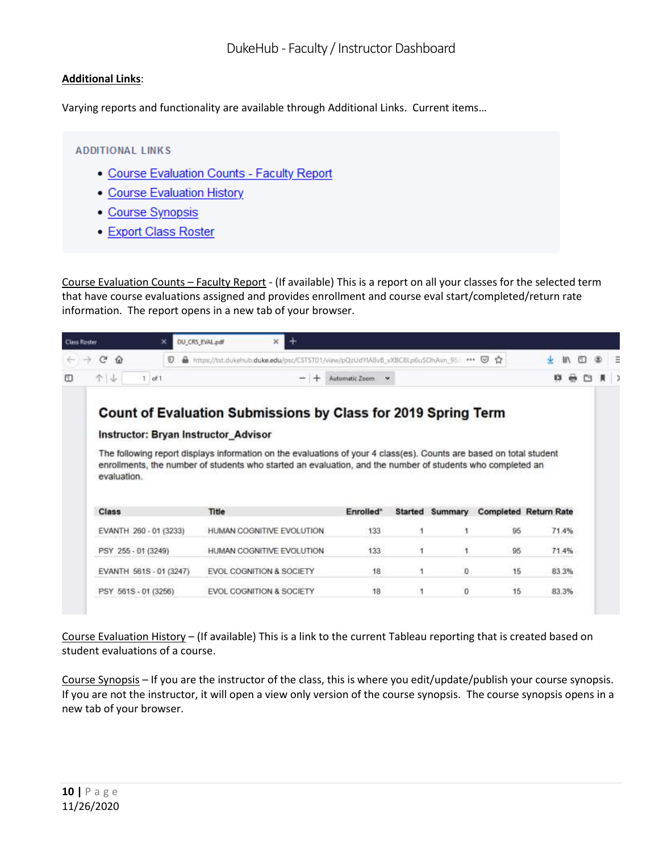#### **Additional Links**:

Varying reports and functionality are available through Additional Links. Current items…

#### **ADDITIONAL LINKS**

- Course Evaluation Counts Faculty Report
- Course Evaluation History
- Course Synopsis
- Export Class Roster

Course Evaluation Counts – Faculty Report - (If available) This is a report on all your classes for the selected term that have course evaluations assigned and provides enrollment and course eval start/completed/return rate information. The report opens in a new tab of your browser.

| c<br>$\Omega$<br>Ū<br>÷              | A https://tst.dukehub.duke.edu/psc/C5T5T01/view/pQzUdYIA8vB.vXBC8Lp6uSOhAvn 95 *** © ☆                                                                                               |                          |                |         |                              |       |  |
|--------------------------------------|--------------------------------------------------------------------------------------------------------------------------------------------------------------------------------------|--------------------------|----------------|---------|------------------------------|-------|--|
| 个业<br>$1$ of $1$                     |                                                                                                                                                                                      | Automatic Zoom<br>$\sim$ |                |         |                              |       |  |
| Instructor: Bryan Instructor_Advisor | Count of Evaluation Submissions by Class for 2019 Spring Term<br>The following report displays information on the evaluations of your 4 class(es). Counts are based on total student |                          |                |         |                              |       |  |
|                                      | enrollments, the number of students who started an evaluation, and the number of students who completed an                                                                           |                          |                |         |                              |       |  |
| evaluation.<br>Class                 | Title                                                                                                                                                                                | Enrolled*                | <b>Started</b> | Summary | <b>Completed Return Rate</b> |       |  |
| EVANTH 260 - 01 (3233)               | HUMAN COGNITIVE EVOLUTION                                                                                                                                                            | 133                      |                |         | 95                           | 71.4% |  |
| PSY 255 - 01 (3249)                  | HUMAN COGNITIVE EVOLUTION                                                                                                                                                            | 133                      |                |         | 95                           | 71.4% |  |
| EVANTH 561S - 01 (3247)              | EVOL COGNITION & SOCIETY                                                                                                                                                             | 18                       |                | 0       | 15                           | 83.3% |  |

Course Evaluation History – (If available) This is a link to the current Tableau reporting that is created based on student evaluations of a course.

Course Synopsis – If you are the instructor of the class, this is where you edit/update/publish your course synopsis. If you are not the instructor, it will open a view only version of the course synopsis. The course synopsis opens in a new tab of your browser.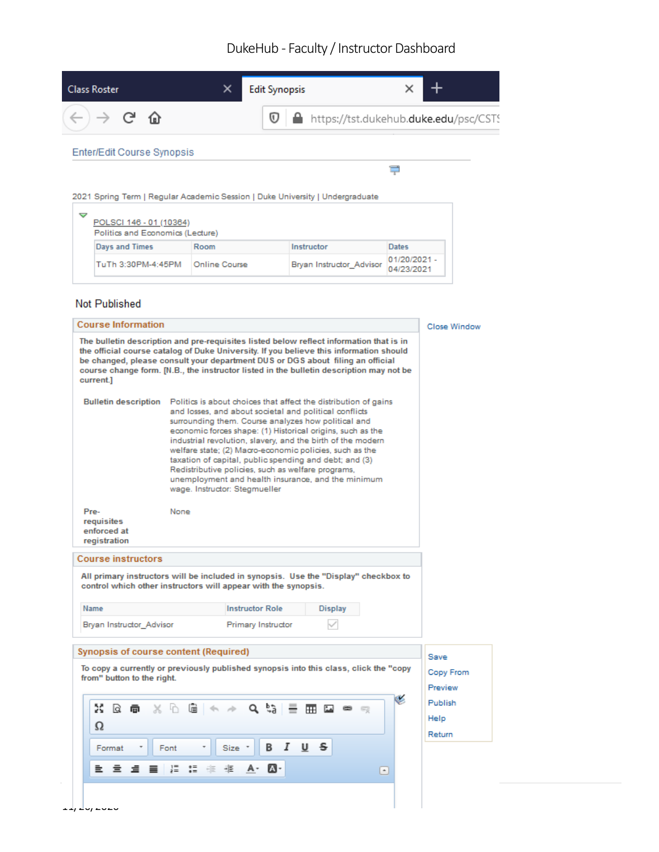| <b>Class Roster</b>                 | × | <b>Edit Synopsis</b> |                                                                              |
|-------------------------------------|---|----------------------|------------------------------------------------------------------------------|
| $)\rightarrow$ ල $\mathbf{\hat{o}}$ |   |                      | $\overline{\mathbb{O}}$   $\triangleq$ https://tst.dukehub.duke.edu/psc/CSTS |
| Enter/Edit Course Synopsis          |   |                      |                                                                              |
|                                     |   |                      |                                                                              |

2021 Spring Term | Regular Academic Session | Duke University | Undergraduate

| POLSCI 146 - 01 (10364)<br>Politics and Economics (Lecture) |               |                          |                            |
|-------------------------------------------------------------|---------------|--------------------------|----------------------------|
| Days and Times                                              | Room          | Instructor               | Dates                      |
| TuTh 3:30PM-4:45PM                                          | Online Course | Bryan Instructor Advisor | 01/20/2021 -<br>04/23/2021 |

#### Not Published

|                                                                                                                                                                                                                                                                                                                                                                             | <b>Course Information</b>                                                                                                                                                                                                                                                                                                                                                                                                                                                                                                                                                       | Close Window         |
|-----------------------------------------------------------------------------------------------------------------------------------------------------------------------------------------------------------------------------------------------------------------------------------------------------------------------------------------------------------------------------|---------------------------------------------------------------------------------------------------------------------------------------------------------------------------------------------------------------------------------------------------------------------------------------------------------------------------------------------------------------------------------------------------------------------------------------------------------------------------------------------------------------------------------------------------------------------------------|----------------------|
| The bulletin description and pre-requisites listed below reflect information that is in<br>the official course catalog of Duke University. If you believe this information should<br>be changed, please consult your department DUS or DGS about filing an official<br>course change form. [N.B., the instructor listed in the bulletin description may not be<br>current.] |                                                                                                                                                                                                                                                                                                                                                                                                                                                                                                                                                                                 |                      |
| <b>Bulletin description</b>                                                                                                                                                                                                                                                                                                                                                 | Politics is about choices that affect the distribution of gains<br>and losses, and about societal and political conflicts<br>surrounding them. Course analyzes how political and<br>economic forces shape: (1) Historical origins, such as the<br>industrial revolution, slavery, and the birth of the modern<br>welfare state; (2) Macro-economic policies, such as the<br>taxation of capital, public spending and debt; and (3)<br>Redistributive policies, such as welfare programs,<br>unemployment and health insurance, and the minimum<br>wage, Instructor: Stegmueller |                      |
| Pre-<br>requisites<br>enforced at<br>registration                                                                                                                                                                                                                                                                                                                           | None                                                                                                                                                                                                                                                                                                                                                                                                                                                                                                                                                                            |                      |
|                                                                                                                                                                                                                                                                                                                                                                             |                                                                                                                                                                                                                                                                                                                                                                                                                                                                                                                                                                                 |                      |
|                                                                                                                                                                                                                                                                                                                                                                             | All primary instructors will be included in synopsis. Use the "Display" checkbox to<br>control which other instructors will appear with the synopsis.                                                                                                                                                                                                                                                                                                                                                                                                                           |                      |
| <b>Course instructors</b><br>Name                                                                                                                                                                                                                                                                                                                                           | <b>Instructor Role</b><br><b>Display</b>                                                                                                                                                                                                                                                                                                                                                                                                                                                                                                                                        |                      |
| Bryan Instructor Advisor                                                                                                                                                                                                                                                                                                                                                    | Primary Instructor                                                                                                                                                                                                                                                                                                                                                                                                                                                                                                                                                              |                      |
|                                                                                                                                                                                                                                                                                                                                                                             | Synopsis of course content (Required)                                                                                                                                                                                                                                                                                                                                                                                                                                                                                                                                           | Save                 |
| from" button to the right.                                                                                                                                                                                                                                                                                                                                                  | To copy a currently or previously published synopsis into this class, click the "copy                                                                                                                                                                                                                                                                                                                                                                                                                                                                                           | Copy From<br>Preview |
| 疏<br>$\alpha$<br>靣<br>Ω                                                                                                                                                                                                                                                                                                                                                     | Œ.<br>$Q$ $\frac{b}{d}$<br>$\times$ h<br>G<br>$\Rightarrow$<br>منا ⊞                                                                                                                                                                                                                                                                                                                                                                                                                                                                                                            | Publish<br>Help      |
| Format                                                                                                                                                                                                                                                                                                                                                                      | Ι<br>U<br>s<br>В<br>Size *<br>Font                                                                                                                                                                                                                                                                                                                                                                                                                                                                                                                                              | Return               |
| 重.<br>호<br>E.<br>≡                                                                                                                                                                                                                                                                                                                                                          | 制퇴<br>$\frac{1}{2}$<br>M٠<br>$\left[ \begin{array}{c} \bullet \\ \bullet \end{array} \right]$                                                                                                                                                                                                                                                                                                                                                                                                                                                                                   |                      |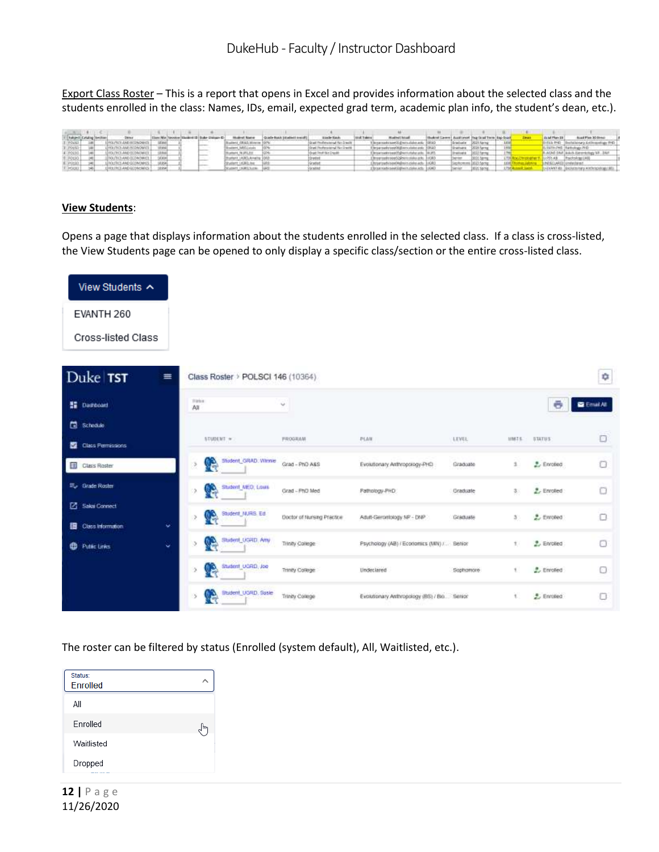Export Class Roster – This is a report that opens in Excel and provides information about the selected class and the students enrolled in the class: Names, IDs, email, expected grad term, academic plan info, the student's dean, etc.).

|                |             |                           |         |  |                   | <b>Moderal Station</b>  | Vice Service                        | <b>Husball Island</b>                     | Hudrol Lewer Lissa Level (his fault from Eng-Scale |                      |          | As left Plan 19  | <b>Bigd Plan 30 Street</b>              |  |
|----------------|-------------|---------------------------|---------|--|-------------------|-------------------------|-------------------------------------|-------------------------------------------|----------------------------------------------------|----------------------|----------|------------------|-----------------------------------------|--|
| POLICE         | <b>SALE</b> | FOLIVIER AND ECONOMICS    |         |  | <b>SECTION</b>    | GRAD, Winter            | Grad Fenderschmud Fan Drasile       |                                           |                                                    | Graduale 3011 kpmg   | $-1.024$ | <b>ATAA PHO-</b> | Decisibility at a differentiate (RG)    |  |
| DOMES- 1881    |             | VOLUTION AND ROOM CAREER  |         |  |                   | Chill Call House        | Grant Pershera lateral Pice Crawlik | Broarsady'see Hill are cute anti- \$35.07 |                                                    | Greenway CODS Spring |          |                  | U. OUTE-TWO - Exhibitions PHD           |  |
| $100010 - 140$ |             | CLINICS AND TOTALISATE 1  |         |  | <b>Services</b>   | Akademia IN URL EN      | legal Deal (Air Crayde)             | Desarrage said grant take are: 18.97.     |                                                    | Invelope Intichera   |          |                  | B.AGAD DAR Makers Extendingly ME. Block |  |
| P0101 ME       |             | <b>FILS AND ECONOMIST</b> |         |  | ---               | Whatford LAGES Analysis |                                     | Noneteedy search @ print make are: 3 KWV  |                                                    |                      |          |                  | -work at B. Prachology (RB)             |  |
| $P0101 - 140$  |             | VOLTICS AND DOINGMES !    | 120204- |  | <b>CONTRACTOR</b> | Museum LtGBQ Inc."      |                                     | Editor - dosi vidades condutivam editor   |                                                    | ayayanan Dilih Gunu- |          |                  |                                         |  |
| $20001 - 26$   |             | THE FRIT AND LODGEMENT    |         |  |                   | Numers (wart work)      | <b>GOMM</b>                         | DASA video and contractors and the        |                                                    | 1815 SEVAL           |          |                  | O-DEANT-RII ENOURINGY AND ISOSOBILIES   |  |

#### **View Students**:

Opens a page that displays information about the students enrolled in the selected class. If a class is cross-listed, the View Students page can be opened to only display a specific class/section or the entire cross-listed class.

| View Students ^                                            |                                   |                            |                                             |           |               |                    |                   |
|------------------------------------------------------------|-----------------------------------|----------------------------|---------------------------------------------|-----------|---------------|--------------------|-------------------|
| EVANTH 260                                                 |                                   |                            |                                             |           |               |                    |                   |
| Cross-listed Class                                         |                                   |                            |                                             |           |               |                    |                   |
| Duke TST<br>$\equiv$                                       | Class Roster > POLSCI 146 (10364) |                            |                                             |           |               |                    | ¢                 |
| <b>SE Dashboard</b>                                        | Titricia<br>All                   | v                          |                                             |           |               | ē                  | <b>E</b> Email At |
| Schedule                                                   |                                   |                            |                                             |           |               |                    |                   |
| Class Permissions                                          | STUDENT >                         | <b>HROGRAM</b>             | PLAN                                        | LEVEL     | 109476.       | <b>STATUS</b>      | O                 |
| Class Roster                                               | Student, GRAD, Winnie<br>e<br>ž.  | Grad - PhD-A&S             | Evolutionary Anthropology-PHD               | Graduate  | 1             | $2.$ Enroled       | a                 |
| E <sub>v</sub> Grade Roster                                | Student MED; Louis<br>Ą<br>o.     | Grad - PhD Med             | Pathology-PHD                               | Graduate  | \$            | $E$ Enrolled       | O                 |
| <b>Z</b> Sakai Connect<br>¥.<br><b>B</b> Class Information | Student_NURIS, Ed.<br>œ,          | Doctor of Nursing Practice | Adult-Gerontology.NP - DNP                  | Graduate  | $3^{\circ}$   | 2. Enclod          | o                 |
| v<br><b>CD</b> Putter Links                                | Student, UGRD, Amy                | Trinity College            | Psychology (AB) / Economics (WN) /  Benior  |           | 土厂            | 2. Enrolled        | o                 |
|                                                            | Student UGRD, Joe<br>P<br>s       | Trinity College            | Underlared                                  | Sophomore | $\mathcal{L}$ | 2. Enroled         | 0                 |
|                                                            | Student, UGRD, Suste<br><b>DA</b> | Trinity College            | Evolutionary Anthropology (BS) / Bio Servor |           | 1.            | <b>2.</b> Enrolled | $\Box$            |

The roster can be filtered by status (Enrolled (system default), All, Waitlisted, etc.).

| Status:<br><b>Enrolled</b> |  |
|----------------------------|--|
| Αll                        |  |
| Enrolled                   |  |
| Waitlisted                 |  |
| Dropped                    |  |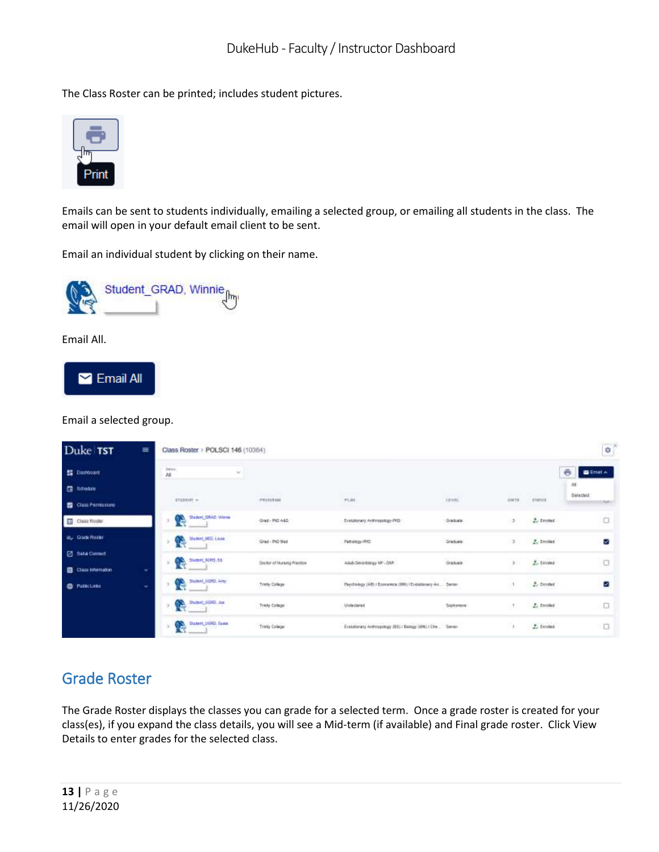The Class Roster can be printed; includes student pictures.



Emails can be sent to students individually, emailing a selected group, or emailing all students in the class. The email will open in your default email client to be sent.

Email an individual student by clicking on their name.



Email All.



Email a selected group.

| Duke TST                                             | $\equiv$ | Class Roster > POLSCI 146 (10364)                       |                                          |                                                            |                                         |               |                            | ₿                  |
|------------------------------------------------------|----------|---------------------------------------------------------|------------------------------------------|------------------------------------------------------------|-----------------------------------------|---------------|----------------------------|--------------------|
| <b>器 Dashboard</b>                                   |          | States.<br>AŁ<br>neo                                    |                                          |                                                            |                                         |               |                            | ë<br><b>BETHEA</b> |
| <b>图 Stheake</b>                                     |          | <b>CARDINAL</b>                                         |                                          | <b>SERVICE</b>                                             | n –                                     | <b>HHTC</b>   | 6888                       | A<br>Selected      |
| Class Permissions                                    |          | STEDENT =                                               | PROGRAM                                  | PLAN<br>maa                                                | 3.8481                                  | 1818/78<br>m  | STATUS                     | <b>Suite</b>       |
| Class Rosler                                         |          | Stadent GRAD Wenne<br>63.                               | Grad - PhD 465<br>1982 IAN 1980          | Eventoway Anthropology-PHD                                 | Graduate                                | $\rightarrow$ | 2.1 <sub>3</sub>           | α                  |
| <b>By Grade Roski</b>                                |          | <b>Student MED, Laure</b><br>m.<br><b>RE</b>            | Grad - PHD Med                           | Pathology-RC                                               | Graduate                                | $-3$          | L. Inched                  | v.                 |
| <b>Z</b> Baka Connect<br><b>EB</b> Class Internation | ÷        | Sladeri, N.RS. Ed-<br>œ.                                | <b>Uniter of Hursing Practice</b>        | Adult Derantstopy NP - ONP                                 | 1013057<br><b><i><u>Transis</u></i></b> | $3 -$         | 1/1/2000<br>2. Estoted     | O                  |
| <b>CD</b> Pablic Limits                              | ٠        | Sighted, DORD, Arty-<br><b>CONTACT</b><br>A.            | 1257.XXX<br>Trinfy College<br>: A WARD A | Psychology (AB) / Economica (MH) / Evolutionary An  Senior |                                         |               | $L$ Excelent<br>1010-11222 | V                  |
|                                                      |          | Stadent, UGRD, Jue<br>n a                               | Trinty College                           | Undeclared                                                 | Sophermane                              | м             | L familed                  | O                  |
|                                                      |          | Student, USAD, Texas<br><b>COMPANY</b><br>æ.<br>nasa at | Trusty College                           | Evaldorary Antropology (65) / Europy (MR) / Che. Series    |                                         |               | $L$ isnes:                 | O                  |

#### Grade Roster

The Grade Roster displays the classes you can grade for a selected term. Once a grade roster is created for your class(es), if you expand the class details, you will see a Mid-term (if available) and Final grade roster. Click View Details to enter grades for the selected class.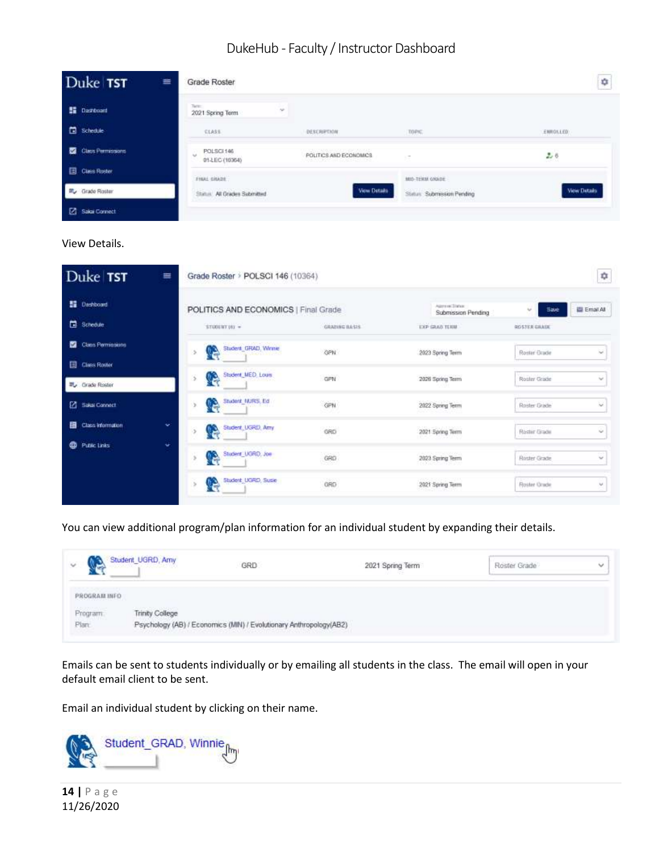| Duke TST                      | ≡<br>Grade Roster                   |                                                    |                           | ۰                   |
|-------------------------------|-------------------------------------|----------------------------------------------------|---------------------------|---------------------|
| <b>E Darrown</b>              | Term.<br>$\sim$<br>2021 Spring Term |                                                    |                           |                     |
| Schedule                      | CLASS                               | DESCRIPTION                                        | TOPAC,                    | ENROLLED            |
| <b>Class Permissions</b><br>≖ | POLSCI 146<br>w<br>01-LEC (10364)   | 이번 이 작은 동안 아이의 공장을 보이네요.<br>POLITICS AND ECONOMICS | $\sim$                    | 2.6                 |
| <b>El Class Roster</b>        | THIAL GRADE                         |                                                    | MID-TERM GNADE            |                     |
| ■ Grade Roster                | Status: All Orades Submitted        | <b>View Details</b>                                | Status Submission Pending | <b>View Details</b> |
| <b>2</b> Sakai Connect        |                                     |                                                    |                           |                     |

#### View Details.

|    | Duke TST<br>≡            | Grade Roster > POLSCI 146 (10364)    |                      |                                         | ₽                                    |
|----|--------------------------|--------------------------------------|----------------------|-----------------------------------------|--------------------------------------|
|    | <b>BE</b> Dashboard      | POLITICS AND ECONOMICS   Final Grade |                      | April at Times<br>Submission Pending    | Email At<br><b>Save</b><br>$\sim$    |
|    | Schedule                 | $$T4304417162 =$                     | GRAZING BASIS        | EXP GRAD TERRE                          | <b>GOSTER GRAIN</b>                  |
|    | Class Permissions        | Student, GRAD, Winnie<br>Q           | GPN.                 | 2023 Spring Term                        | Roster Orade<br>$\sim$               |
|    | <b>El Class Roster</b>   |                                      |                      |                                         |                                      |
|    | W Cirade Roster          | Student, MED, Louis<br>G             | GPN                  | 2026 Spring Term                        | Roster Grade<br>v                    |
|    | 2 Salai Connect          | Student_MJRS, Ed<br>G                | GPN                  | 2022 Spring Term                        | w<br>Roster Guide                    |
| 日. | Class Information<br>w.  | Student, UGRD, Amy                   | <b>COUNTY</b><br>GRO | 2021 Spring Term                        | Rister Grade<br>$\sim$               |
|    | <b>Public Links</b><br>÷ | Student UGRO, Joe<br>G               | GRO<br>-92           | 2023 Spring Term<br>1999년 XXX XXXX XXXX | $\mathcal{M}$<br><b>Roster Grade</b> |
|    |                          | Student_UGRD, Susie<br>q             | GRO                  | 2021 Spring Term                        | Roster Grade<br>v.                   |

#### You can view additional program/plan information for an individual student by expanding their details.

| $\checkmark$                             | Student UGRD, Amy<br>a matamatika katika katika k | GRD                                                                 | 2021 Spring Term | Roster Grade | $\sim$ |
|------------------------------------------|---------------------------------------------------|---------------------------------------------------------------------|------------------|--------------|--------|
| PROGRAM INFO                             |                                                   |                                                                     |                  |              |        |
| <b>FARISTIC FALL</b><br>Program<br>Plan: | <b>Trinity College</b>                            |                                                                     |                  |              |        |
|                                          |                                                   | Psychology (AB) / Economics (MIN) / Evolutionary Anthropology (AB2) |                  |              |        |

Emails can be sent to students individually or by emailing all students in the class. The email will open in your default email client to be sent.

Email an individual student by clicking on their name.



**14 |** P a g e 11/26/2020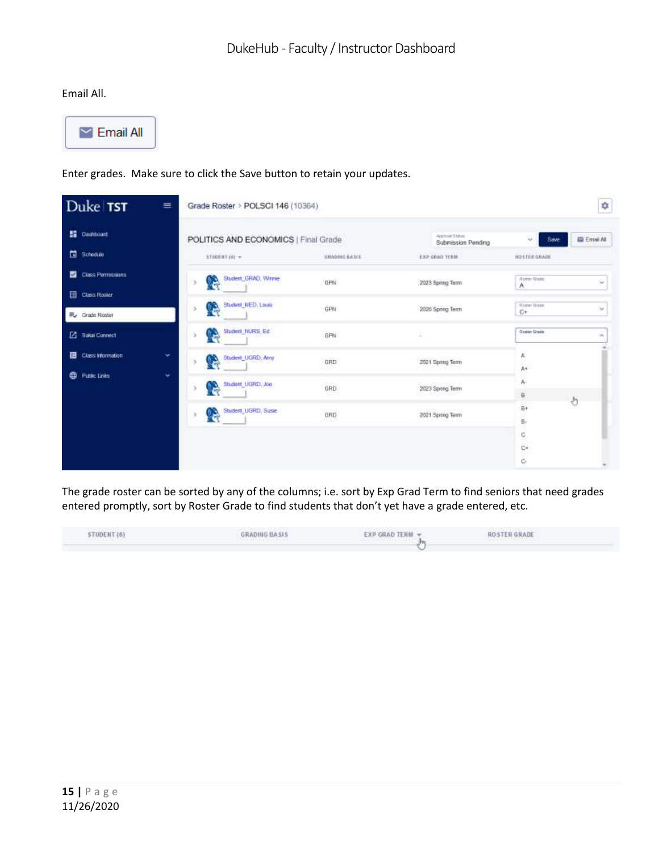#### Email All.



#### Enter grades. Make sure to click the Save button to retain your updates.

| Duke TST                                          | $\equiv$<br>Grade Roster > POLSCI 146 (10364) |                         |                                              | ¢                                                |
|---------------------------------------------------|-----------------------------------------------|-------------------------|----------------------------------------------|--------------------------------------------------|
| <b>SE</b> Dashboard                               | POLITICS AND ECONOMICS   Final Grade          |                         | <b>Righting Status</b><br>Submission Pending | El Emai At<br>Save<br>$\mathbf{r}_{\mathbf{r}'}$ |
| Schedule                                          | 17000NT (H) =                                 | GYLNDING BASES          | EXP GRAD TERM                                | HOSTER GRADE                                     |
| Class Permissions<br>o<br><b>Ell</b> Class Roster | Student_GRAD, Winnie<br>P                     | GPN                     | 2023 Spring Term                             | <b>Baker-Tirene</b><br>$\sim$<br>A.              |
| EL Grade Roster                                   | Student, MED, Louis<br>e.                     | GPN                     | 2026 Spring Term                             | Nasher Brazie<br>$\lambda_{\rm eff}$<br>$C+$     |
| Salai Connect                                     | Student, NURS, Ed.<br>CS.                     | GPN                     | Ξ                                            | <b>Government</b><br>$\mathcal{L}_{\mathcal{P}}$ |
| Class Information                                 | ÷.<br>Student, UGRD, Arry<br>P                | $-25.25$<br>GRD<br>-365 | 2021 Spring Term                             | A<br>Ä4                                          |
| <b>CD</b> Public Links                            | ÷<br>Student UGRD, Joe<br>œ,                  | 32220<br>GRD            | 2023 Spring Term<br>an akhal dag             | 胍<br>a)<br>ð                                     |
|                                                   | Student UGRD, Susie<br>Q                      | 222223<br>GRD<br>o San  | CHANNED CAST DOM NO.<br>2021 Spring Term     | B+<br>ğ,<br>52                                   |
|                                                   |                                               |                         |                                              | ç,<br>$\mathbb{C}^n$<br>c                        |

The grade roster can be sorted by any of the columns; i.e. sort by Exp Grad Term to find seniors that need grades entered promptly, sort by Roster Grade to find students that don't yet have a grade entered, etc.

| TUDENT (6)                    | <b>GRADING BASIS</b>      | EXP GRAD TERM - | ROSTEN GRADE                    |  |
|-------------------------------|---------------------------|-----------------|---------------------------------|--|
| <b>FRANK AND ANNUAL TRACK</b> | いこうしょうし ビット・スパン こうせいしょうせい |                 | <b>CARLO GREEN DE DE MINUTO</b> |  |
|                               |                           |                 |                                 |  |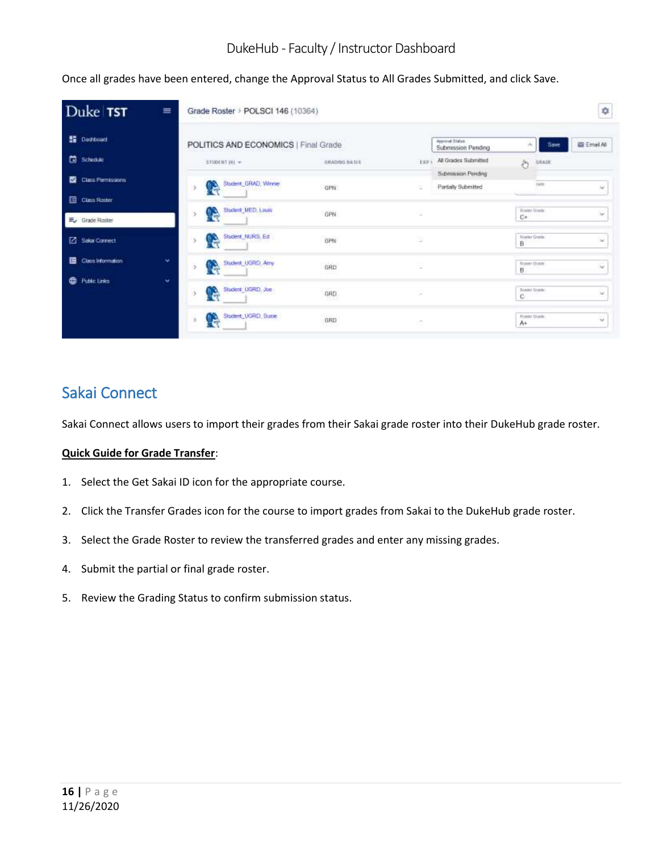Once all grades have been entered, change the Approval Status to All Grades Submitted, and click Save.

| Duke TST                        | ≡ | Grade Roster > POLSCI 146 (10364)    |                     |              |                                         |                        |             | ¢           |
|---------------------------------|---|--------------------------------------|---------------------|--------------|-----------------------------------------|------------------------|-------------|-------------|
| <b>SE Dastboard</b>             |   | POLITICS AND ECONOMICS   Final Grade |                     |              | Approved Station.<br>Submission Pending | ×                      | Save        | E Email All |
| Schoole                         |   | STUDENT (R) =                        | GYLADING BASES      | <b>EXP 4</b> | All Grades Submitted                    | ð                      | GILADE      |             |
| Class Permissions<br>o          |   |                                      |                     |              | Submission Pending:                     |                        |             |             |
|                                 |   | Student, GRAD, Winnie<br>R           | GPN                 | ÷            | Partially Submitted                     |                        | <b>FATE</b> | u           |
| <b>El Class Roster</b>          |   |                                      |                     |              |                                         |                        |             |             |
| $\Xi_{\checkmark}$ Grade Roster |   | Student, MED, Louis<br>e             | GPN.                | ä            |                                         | Router linets<br>C+    |             | ¥           |
| Z Saka Connect                  |   | Student, NURS, Ed.<br>B              | GPN                 | Β            |                                         | Roster Grade<br>B      |             | $\sim$      |
| Class Information<br>в          | ۰ | Student_UGRO, Arry<br>G              | GRD<br>562          | ä            |                                         | <b>Nosse Diam</b><br>B |             | $\sim$      |
| ⊕<br>Public Links               | ö |                                      |                     |              |                                         |                        |             |             |
|                                 |   | Student_UGRD, Jae<br>e               | $_{\rm 0RD}$        | $\sim$       |                                         | Roster Grade:<br>c     |             | $\sim$      |
|                                 |   | Student_UGRD, Suse<br>Q              | Service Book<br>GRD | $\sim$       |                                         | Rowler Guide<br>A÷     |             | v           |

# Sakai Connect

Sakai Connect allows users to import their grades from their Sakai grade roster into their DukeHub grade roster.

#### **Quick Guide for Grade Transfer**:

- 1. Select the Get Sakai ID icon for the appropriate course.
- 2. Click the Transfer Grades icon for the course to import grades from Sakai to the DukeHub grade roster.
- 3. Select the Grade Roster to review the transferred grades and enter any missing grades.
- 4. Submit the partial or final grade roster.
- 5. Review the Grading Status to confirm submission status.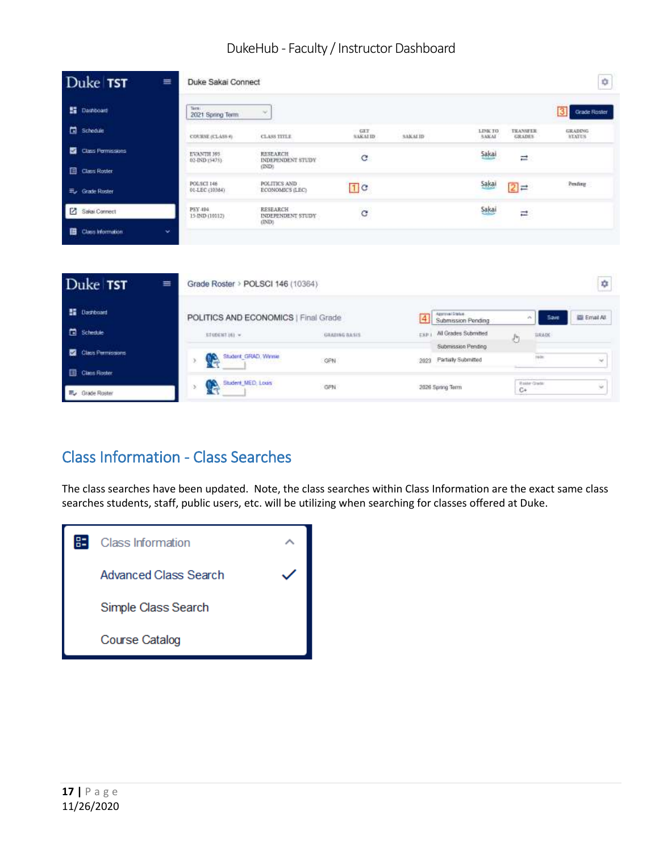| Duke TST<br>≡                             | Duke Sakai Connect           |                                               |                        |                |                                       |                                   | ø                               |
|-------------------------------------------|------------------------------|-----------------------------------------------|------------------------|----------------|---------------------------------------|-----------------------------------|---------------------------------|
| <b>E</b> Dashboard                        | Terre:<br>2021 Spring Term   | v                                             |                        |                |                                       |                                   | з<br>Grade Roster               |
| Schedule                                  | COURSE (CLASS 9)             | <b>CLASS TITLE</b>                            | GLT<br><b>SAKAI ID</b> | <b>SAKALID</b> | LINK TO<br>SAKAI                      | <b>TRANSFER</b><br>GRADES         | <b>GRADING</b><br><b>NEATUS</b> |
| Class Permissions                         | EVANTH 395<br>02-IND (5475). | <b>RESEARCH</b><br>INDEPENDENT STUDY<br>(IND) | e                      |                | Sakai                                 | $\overrightarrow{ }$              |                                 |
| <b>El</b> Class Roster<br>E. Grade Roster | POLSCI 146<br>01-LEC (10364) | POLITICS AND<br>ECONOMICS (LEC)               | 1 <sub>c</sub>         |                | Sakai                                 | $\overline{[2]} \rightleftarrows$ | Pending                         |
| Sakai Connect                             | PSY 494<br>15-IND (10112)    | RESEARCH<br>INDEPENDENT STUDY                 | $\mathbf{G}$           |                | Sakai                                 | н                                 |                                 |
| Class Information<br>w                    |                              | (IND)                                         |                        |                |                                       |                                   |                                 |
|                                           |                              |                                               |                        |                |                                       |                                   |                                 |
| Duke TST<br>亖                             |                              | Grade Roster > POLSCI 146 (10364)             |                        |                |                                       |                                   | ¢                               |
| <b>E</b> Dastboard                        |                              | POLITICS AND ECONOMICS   Final Grade          |                        | $\overline{4}$ | Approval Distus<br>Submission Pending | $\mathcal{O}_\mathcal{K}$         | El Emat All<br><b>Save</b>      |
| <b>El</b> Schedule                        | STUDENT (6) =                |                                               | GRADING BASIS          | EXP I          | All Grades Submitted                  | b,                                | <b>BRADE</b>                    |
| Class Permissions                         |                              | Student: GRAD, Winnie                         |                        |                | Submission Pending                    |                                   | 1978                            |
| Class Roster                              | Ø.                           |                                               | GPN                    | 2023           | Partially Submitted                   |                                   | w                               |
| E <sub>r</sub> Orade Roster               | G<br>ъ                       | Student MED, Louis                            | GPN                    |                | 2026 Spring Term                      | Roster Grade<br>C+                | w.                              |

# Class Information - Class Searches

The class searches have been updated. Note, the class searches within Class Information are the exact same class searches students, staff, public users, etc. will be utilizing when searching for classes offered at Duke.

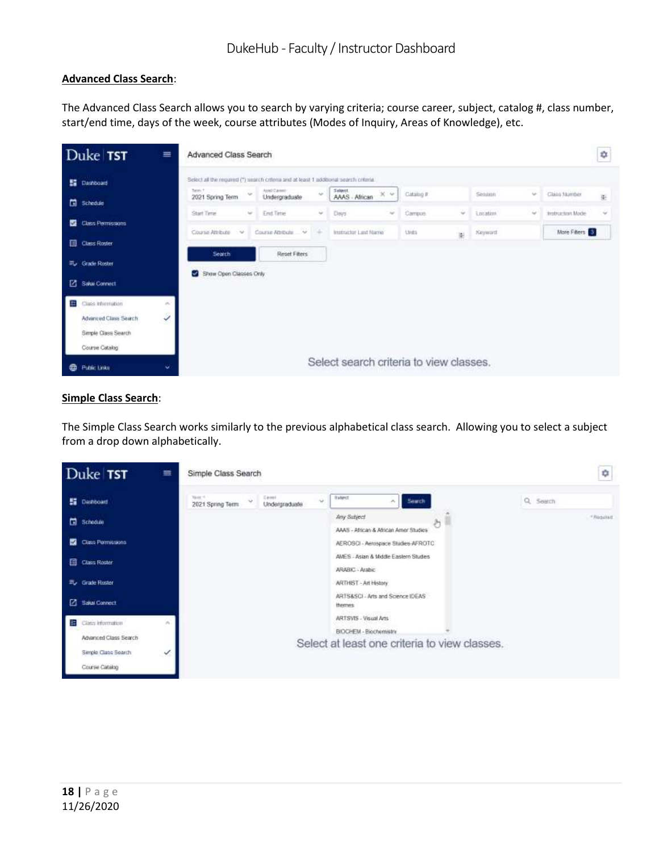#### **Advanced Class Search**:

The Advanced Class Search allows you to search by varying criteria; course career, subject, catalog #, class number, start/end time, days of the week, course attributes (Modes of Inquiry, Areas of Knowledge), etc.

|   | Duke TST                    | ≡                           | Advanced Class Search                                                                  |        |                              |            |                                         |              |          |        |                  | ٠ |
|---|-----------------------------|-----------------------------|----------------------------------------------------------------------------------------|--------|------------------------------|------------|-----------------------------------------|--------------|----------|--------|------------------|---|
|   | <b>Ed</b> Dashboard         |                             | Select all the required (*) search criteria and at least 1 additional search criteria. |        |                              |            |                                         |              |          |        |                  |   |
|   | Schedule                    |                             | Telect.<br>2021 Spring Term                                                            | $\sim$ | AlmOCannet:<br>Undergraduate | $\sim$     | Sobject.<br>$30 - 50$<br>AAAS - African | Catalog #    | Session  | $\sim$ | Chica fauritier  | 對 |
|   |                             |                             | <b>Start Time</b>                                                                      | $\sim$ | End Time                     | $\omega$   | Days<br>$\sim$                          | Campus<br>w. | Location | w      | Instruction Mode | w |
|   | <b>Class Permissions</b>    |                             | Course Attribute<br>1.58                                                               |        | Course AthRote<br>$\sim$     | <b>ISS</b> | Instructor Last Name                    | Units<br>ii  | Keyword  |        | More Filters     |   |
|   | Class Roster                |                             | Search                                                                                 |        | Reset Fiters                 |            |                                         |              |          |        |                  |   |
|   | E <sub>v</sub> Grade Roster |                             | Show Open Classes Only                                                                 |        |                              |            |                                         |              |          |        |                  |   |
|   | Saka Connect                |                             |                                                                                        |        |                              |            |                                         |              |          |        |                  |   |
| 黚 | Class Information           | $\mathcal{M}_{\mathrm{in}}$ |                                                                                        |        |                              |            |                                         |              |          |        |                  |   |
|   | Advanced Class Search       | Ï<br>- 1                    |                                                                                        |        |                              |            |                                         |              |          |        |                  |   |
|   | Simple Class Search         |                             |                                                                                        |        |                              |            |                                         |              |          |        |                  |   |
|   | Course Catalog              |                             |                                                                                        |        |                              |            |                                         |              |          |        |                  |   |
| ⊕ | <b>Public Links</b>         | ŵ.                          |                                                                                        |        |                              |            | Select search criteria to view classes. |              |          |        |                  |   |

#### **Simple Class Search**:

The Simple Class Search works similarly to the previous alphabetical class search. Allowing you to select a subject from a drop down alphabetically.